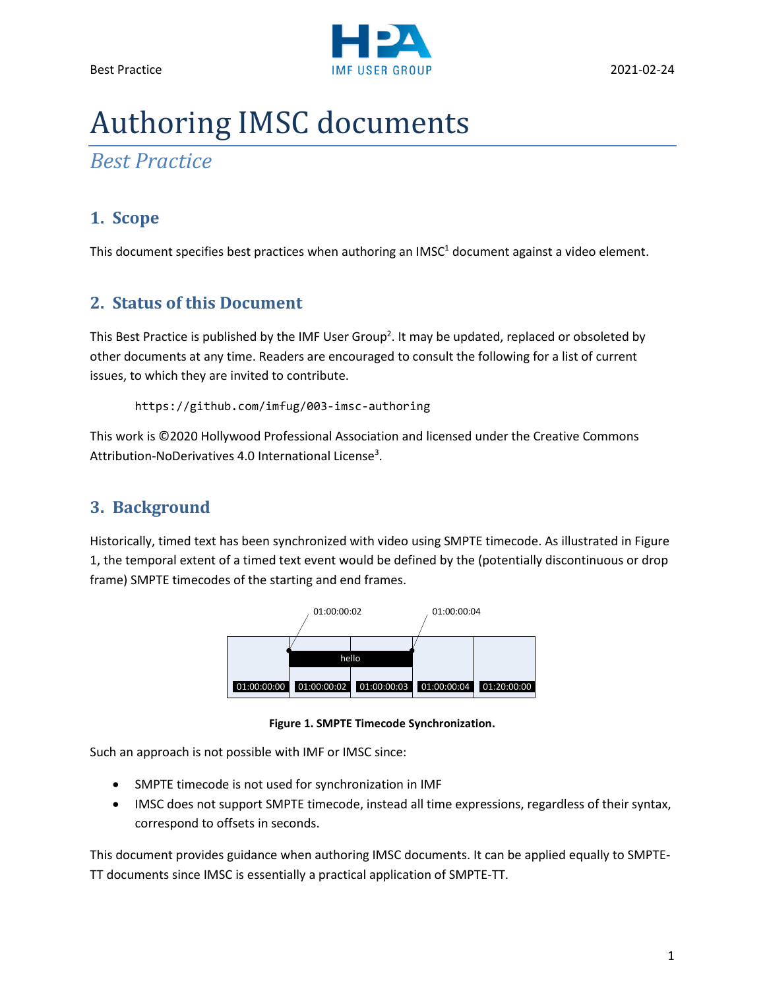

# Authoring IMSC documents

*Best Practice*

# **1. Scope**

This document specifies best practices when authoring an  $IMSC<sup>1</sup>$  document against a video element.

# **2. Status of this Document**

This Best Practice is published by the IMF User Group<sup>2</sup>. It may be updated, replaced or obsoleted by other documents at any time. Readers are encouraged to consult the following for a list of current issues, to which they are invited to contribute.

```
https://github.com/imfug/003-imsc-authoring
```
This work is ©2020 Hollywood Professional Association and licensed under the Creative Commons Attribution-NoDerivatives 4.0 International License<sup>3</sup>.

# **3. Background**

Historically, timed text has been synchronized with video using SMPTE timecode. As illustrated in [Figure](#page-0-0)  [1,](#page-0-0) the temporal extent of a timed text event would be defined by the (potentially discontinuous or drop frame) SMPTE timecodes of the starting and end frames.



**Figure 1. SMPTE Timecode Synchronization.**

<span id="page-0-0"></span>Such an approach is not possible with IMF or IMSC since:

- SMPTE timecode is not used for synchronization in IMF
- IMSC does not support SMPTE timecode, instead all time expressions, regardless of their syntax, correspond to offsets in seconds.

This document provides guidance when authoring IMSC documents. It can be applied equally to SMPTE-TT documents since IMSC is essentially a practical application of SMPTE-TT.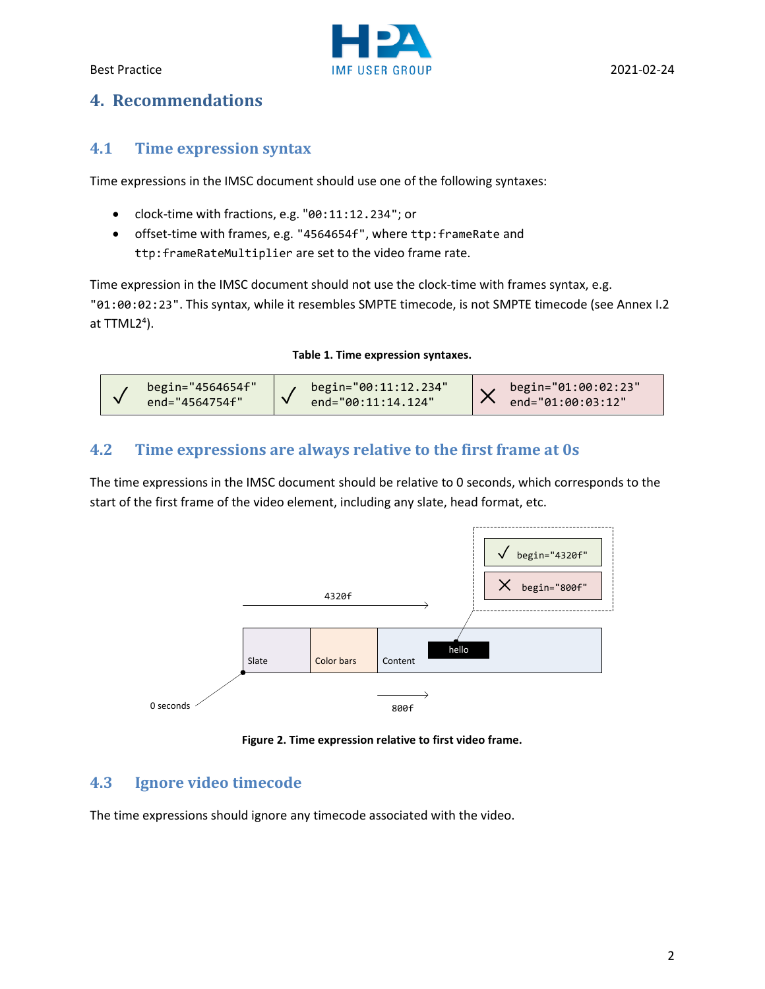

# **4. Recommendations**

#### **4.1 Time expression syntax**

Time expressions in the IMSC document should use one of the following syntaxes:

- clock-time with fractions, e.g. "00:11:12.234"; or
- offset-time with frames, e.g. "4564654f", where ttp:frameRate and ttp:frameRateMultiplier are set to the video frame rate.

Time expression in the IMSC document should not use the clock-time with frames syntax, e.g. "01:00:02:23". This syntax, while it resembles SMPTE timecode, is not SMPTE timecode (see Annex I.2 at TTML2<sup>4</sup>).

**Table 1. Time expression syntaxes.**

| begin="4564654f" | $\mu$ begin="00:11:12.234" | begin="01:00:02:23" |
|------------------|----------------------------|---------------------|
| end="4564754f"   | end="00:11:14.124"         | end="01:00:03:12"   |

#### <span id="page-1-0"></span>**4.2 Time expressions are always relative to the first frame at 0s**

The time expressions in the IMSC document should be relative to 0 seconds, which corresponds to the start of the first frame of the video element, including any slate, head format, etc.



**Figure 2. Time expression relative to first video frame.**

# **4.3 Ignore video timecode**

The time expressions should ignore any timecode associated with the video.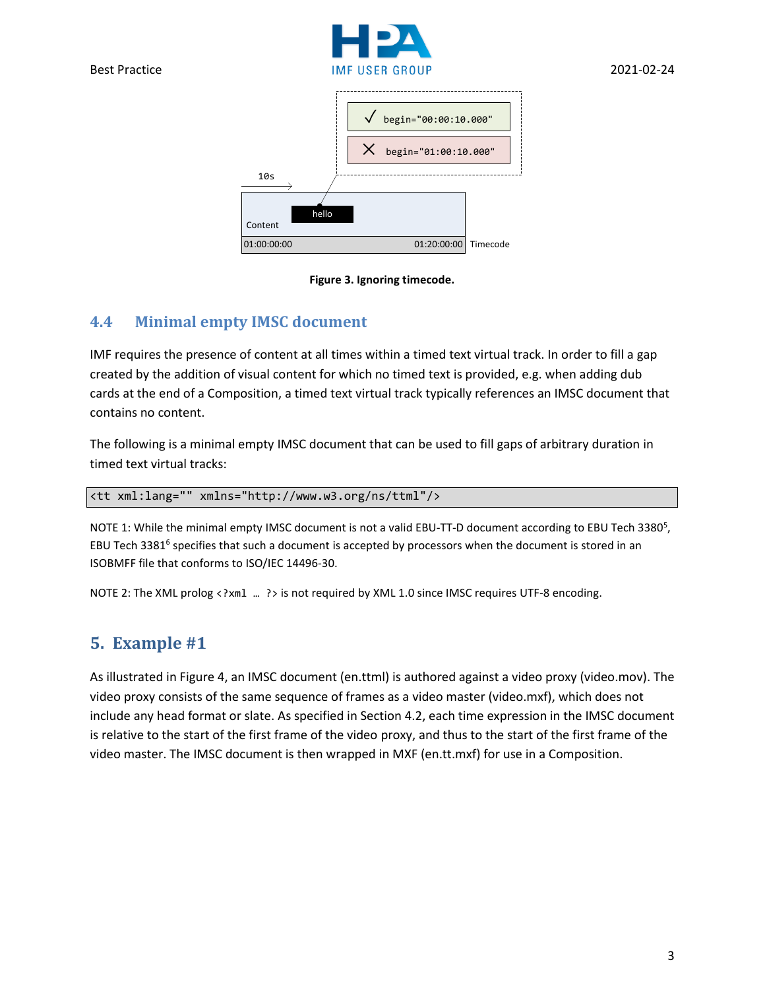





#### <span id="page-2-0"></span>**4.4 Minimal empty IMSC document**

IMF requires the presence of content at all times within a timed text virtual track. In order to fill a gap created by the addition of visual content for which no timed text is provided, e.g. when adding dub cards at the end of a Composition, a timed text virtual track typically references an IMSC document that contains no content.

The following is a minimal empty IMSC document that can be used to fill gaps of arbitrary duration in timed text virtual tracks:

<tt xml:lang="" xmlns="http://www.w3.org/ns/ttml"/>

NOTE 1: While the minimal empty IMSC document is not a valid EBU-TT-D document according to EBU Tech 3380<sup>5</sup>, EBU Tech 3381<sup>6</sup> specifies that such a document is accepted by processors when the document is stored in an ISOBMFF file that conforms to ISO/IEC 14496-30.

NOTE 2: The XML prolog <?xm1 ... ?> is not required by XML 1.0 since IMSC requires UTF-8 encoding.

# **5. Example #1**

As illustrated in Figure 4, an IMSC document (en.ttml) is authored against a video proxy (video.mov). The video proxy consists of the same sequence of frames as a video master (video.mxf), which does not include any head format or slate. As specified in Section [4.2,](#page-1-0) each time expression in the IMSC document is relative to the start of the first frame of the video proxy, and thus to the start of the first frame of the video master. The IMSC document is then wrapped in MXF (en.tt.mxf) for use in a Composition.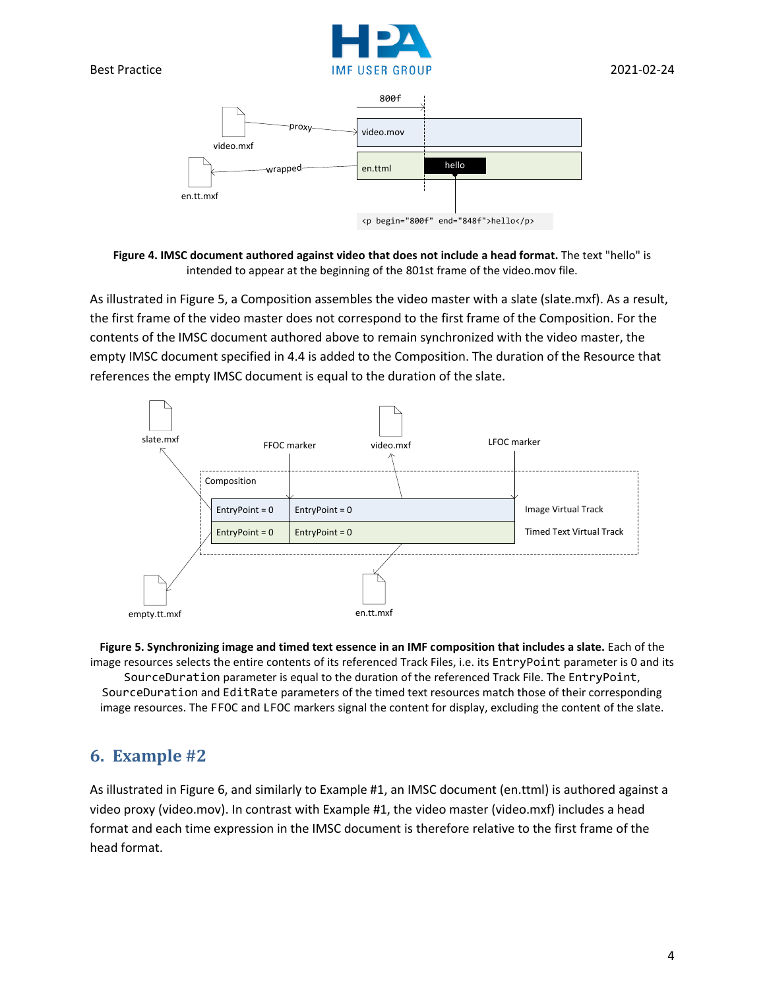



**Figure 4. IMSC document authored against video that does not include a head format.** The text "hello" is intended to appear at the beginning of the 801st frame of the video.mov file.

As illustrated in Figure 5, a Composition assembles the video master with a slate (slate.mxf). As a result, the first frame of the video master does not correspond to the first frame of the Composition. For the contents of the IMSC document authored above to remain synchronized with the video master, the empty IMSC document specified in [4.4](#page-2-0) is added to the Composition. The duration of the Resource that references the empty IMSC document is equal to the duration of the slate.



**Figure 5. Synchronizing image and timed text essence in an IMF composition that includes a slate.** Each of the image resources selects the entire contents of its referenced Track Files, i.e. its EntryPoint parameter is 0 and its SourceDuration parameter is equal to the duration of the referenced Track File. The EntryPoint, SourceDuration and EditRate parameters of the timed text resources match those of their corresponding image resources. The FFOC and LFOC markers signal the content for display, excluding the content of the slate.

# **6. Example #2**

As illustrated in [Figure 6,](#page-4-0) and similarly to Example #1, an IMSC document (en.ttml) is authored against a video proxy (video.mov). In contrast with Example #1, the video master (video.mxf) includes a head format and each time expression in the IMSC document is therefore relative to the first frame of the head format.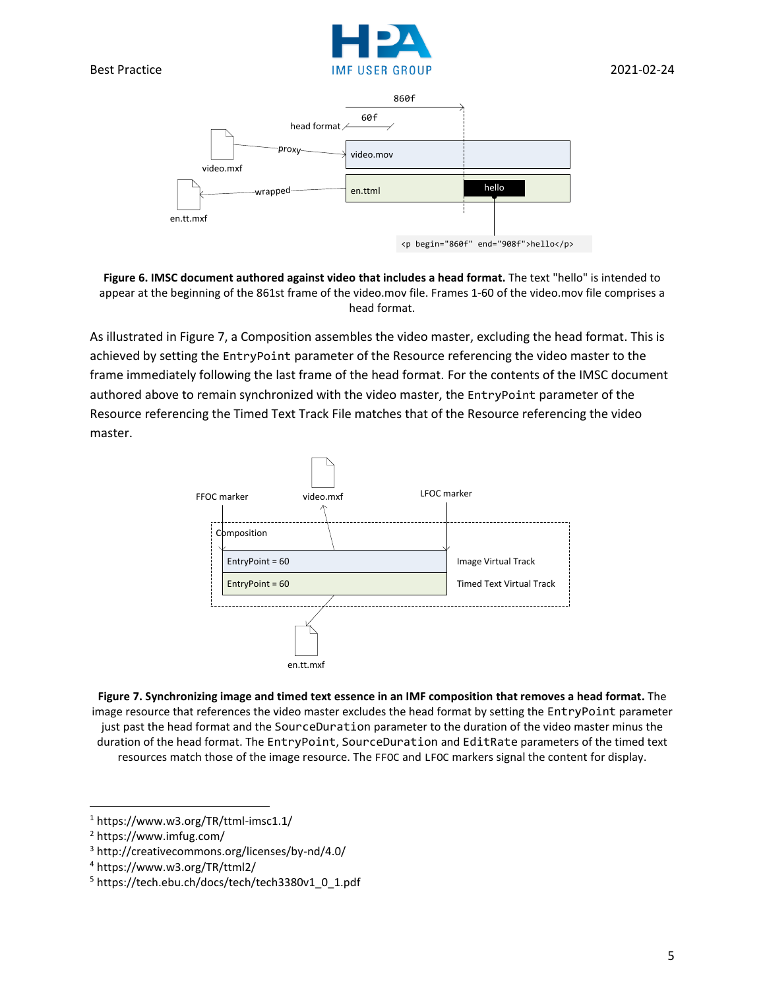



<span id="page-4-0"></span>**Figure 6. IMSC document authored against video that includes a head format.** The text "hello" is intended to appear at the beginning of the 861st frame of the video.mov file. Frames 1-60 of the video.mov file comprises a head format.

As illustrated in [Figure 7,](#page-4-1) a Composition assembles the video master, excluding the head format. This is achieved by setting the EntryPoint parameter of the Resource referencing the video master to the frame immediately following the last frame of the head format. For the contents of the IMSC document authored above to remain synchronized with the video master, the EntryPoint parameter of the Resource referencing the Timed Text Track File matches that of the Resource referencing the video master.



<span id="page-4-1"></span>**Figure 7. Synchronizing image and timed text essence in an IMF composition that removes a head format.** The image resource that references the video master excludes the head format by setting the EntryPoint parameter just past the head format and the SourceDuration parameter to the duration of the video master minus the duration of the head format. The EntryPoint, SourceDuration and EditRate parameters of the timed text resources match those of the image resource. The FFOC and LFOC markers signal the content for display.

<sup>1</sup> https://www.w3.org/TR/ttml-imsc1.1/

<sup>2</sup> https://www.imfug.com/

<sup>3</sup> http://creativecommons.org/licenses/by-nd/4.0/

<sup>4</sup> https://www.w3.org/TR/ttml2/

<sup>5</sup> https://tech.ebu.ch/docs/tech/tech3380v1\_0\_1.pdf